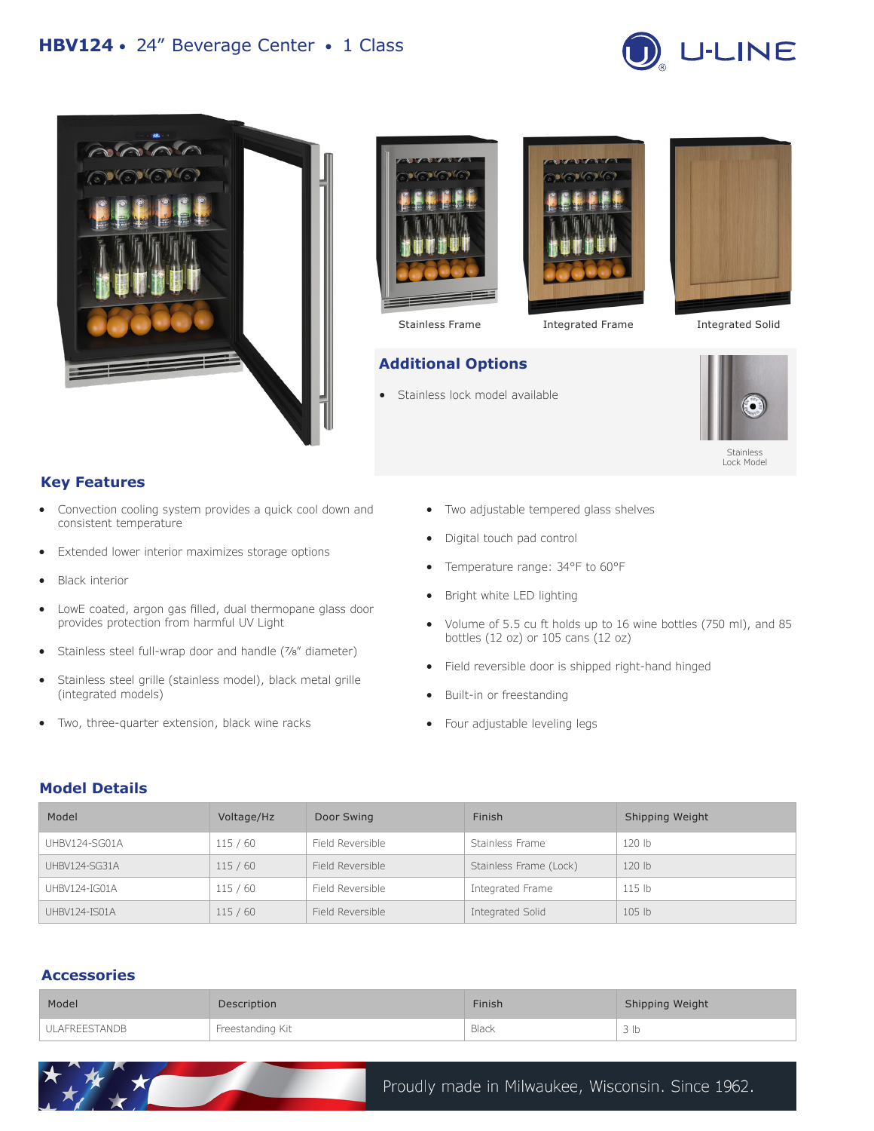









Stainless Frame **Integrated Frame** Integrated Solid



## **Key Features**

- Convection cooling system provides a quick cool down and consistent temperature
- Extended lower interior maximizes storage options
- Black interior
- LowE coated, argon gas filled, dual thermopane glass door provides protection from harmful UV Light
- Stainless steel full-wrap door and handle ( $\frac{7}{8}$ " diameter)
- Stainless steel grille (stainless model), black metal grille (integrated models)
- Two, three-quarter extension, black wine racks

 $\star$  and  $\star$ 

- Two adjustable tempered glass shelves
- Digital touch pad control

Stainless lock model available

**Additional Options**

- Temperature range: 34°F to 60°F
- Bright white LED lighting
- Volume of 5.5 cu ft holds up to 16 wine bottles (750 ml), and 85 bottles (12 oz) or 105 cans (12 oz)
- Field reversible door is shipped right-hand hinged
- Built-in or freestanding
- Four adjustable leveling legs

## **Model Details**

| Model                | Voltage/Hz | Door Swing       | Finish                 | Shipping Weight   |
|----------------------|------------|------------------|------------------------|-------------------|
| UHBV124-SG01A        | 115/60     | Field Reversible | Stainless Frame        | 120 lb            |
| <b>UHBV124-SG31A</b> | 115/60     | Field Reversible | Stainless Frame (Lock) | 120 lb            |
| UHBV124-IG01A        | 115 / 60   | Field Reversible | Integrated Frame       | 115 <sub>1b</sub> |
| UHBV124-IS01A        | 115/60     | Field Reversible | Integrated Solid       | 105 lb            |

# **Accessories**

| Model         | Description      | Finish | Shipping Weight |
|---------------|------------------|--------|-----------------|
| ULAFREESTANDB | Freestanding Kit | Black  | 3 <sub>lb</sub> |